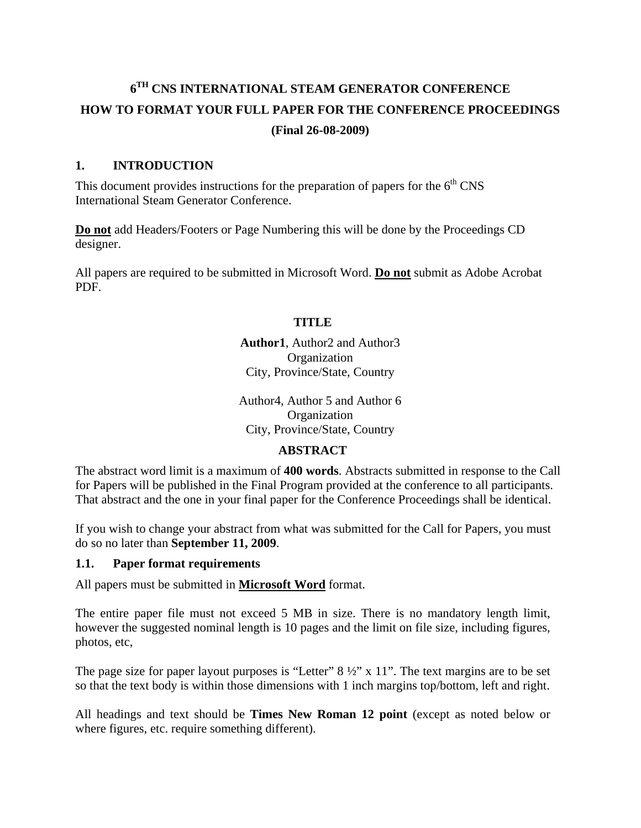# **6TH CNS INTERNATIONAL STEAM GENERATOR CONFERENCE HOW TO FORMAT YOUR FULL PAPER FOR THE CONFERENCE PROCEEDINGS (Final 26-08-2009)**

#### **1. INTRODUCTION**

This document provides instructions for the preparation of papers for the  $6<sup>th</sup>$  CNS International Steam Generator Conference.

**Do not** add Headers/Footers or Page Numbering this will be done by the Proceedings CD designer.

All papers are required to be submitted in Microsoft Word. **Do not** submit as Adobe Acrobat PDF.

#### **TITLE**

**Author1**, Author2 and Author3 **Organization** City, Province/State, Country

Author4, Author 5 and Author 6 Organization City, Province/State, Country

#### **ABSTRACT**

The abstract word limit is a maximum of **400 words**. Abstracts submitted in response to the Call for Papers will be published in the Final Program provided at the conference to all participants. That abstract and the one in your final paper for the Conference Proceedings shall be identical.

If you wish to change your abstract from what was submitted for the Call for Papers, you must do so no later than **September 11, 2009**.

#### **1.1. Paper format requirements**

All papers must be submitted in **Microsoft Word** format.

The entire paper file must not exceed 5 MB in size. There is no mandatory length limit, however the suggested nominal length is 10 pages and the limit on file size, including figures, photos, etc,

The page size for paper layout purposes is "Letter"  $8\frac{1}{2}$ " x 11". The text margins are to be set so that the text body is within those dimensions with 1 inch margins top/bottom, left and right.

All headings and text should be **Times New Roman 12 point** (except as noted below or where figures, etc. require something different).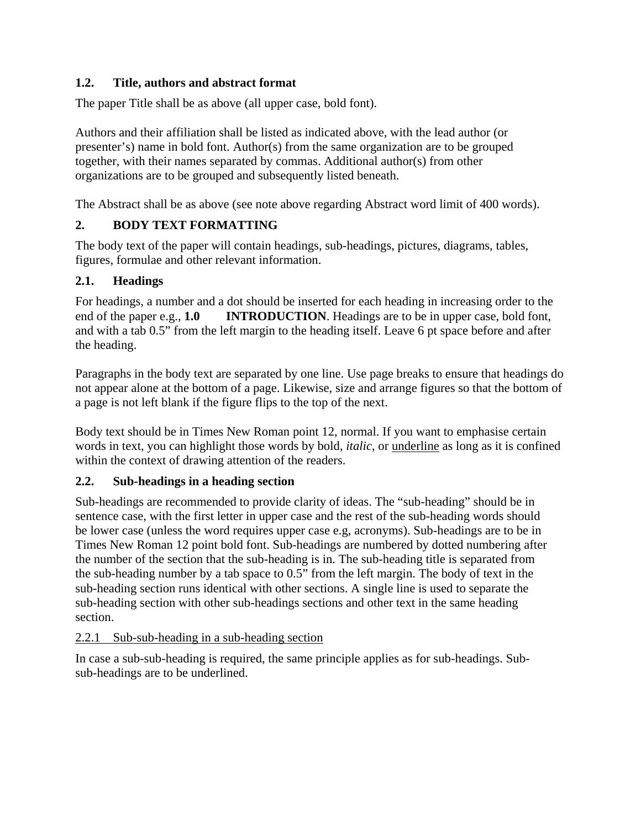## **1.2. Title, authors and abstract format**

The paper Title shall be as above (all upper case, bold font).

Authors and their affiliation shall be listed as indicated above, with the lead author (or presenter's) name in bold font. Author(s) from the same organization are to be grouped together, with their names separated by commas. Additional author(s) from other organizations are to be grouped and subsequently listed beneath.

The Abstract shall be as above (see note above regarding Abstract word limit of 400 words).

## **2. BODY TEXT FORMATTING**

The body text of the paper will contain headings, sub-headings, pictures, diagrams, tables, figures, formulae and other relevant information.

#### **2.1. Headings**

For headings, a number and a dot should be inserted for each heading in increasing order to the end of the paper e.g., **1.0 INTRODUCTION**. Headings are to be in upper case, bold font, and with a tab 0.5" from the left margin to the heading itself. Leave 6 pt space before and after the heading.

Paragraphs in the body text are separated by one line. Use page breaks to ensure that headings do not appear alone at the bottom of a page. Likewise, size and arrange figures so that the bottom of a page is not left blank if the figure flips to the top of the next.

Body text should be in Times New Roman point 12, normal. If you want to emphasise certain words in text, you can highlight those words by bold, *italic*, or underline as long as it is confined within the context of drawing attention of the readers.

## **2.2. Sub-headings in a heading section**

Sub-headings are recommended to provide clarity of ideas. The "sub-heading" should be in sentence case, with the first letter in upper case and the rest of the sub-heading words should be lower case (unless the word requires upper case e.g, acronyms). Sub-headings are to be in Times New Roman 12 point bold font. Sub-headings are numbered by dotted numbering after the number of the section that the sub-heading is in. The sub-heading title is separated from the sub-heading number by a tab space to 0.5" from the left margin. The body of text in the sub-heading section runs identical with other sections. A single line is used to separate the sub-heading section with other sub-headings sections and other text in the same heading section.

#### 2.2.1 Sub-sub-heading in a sub-heading section

In case a sub-sub-heading is required, the same principle applies as for sub-headings. Subsub-headings are to be underlined.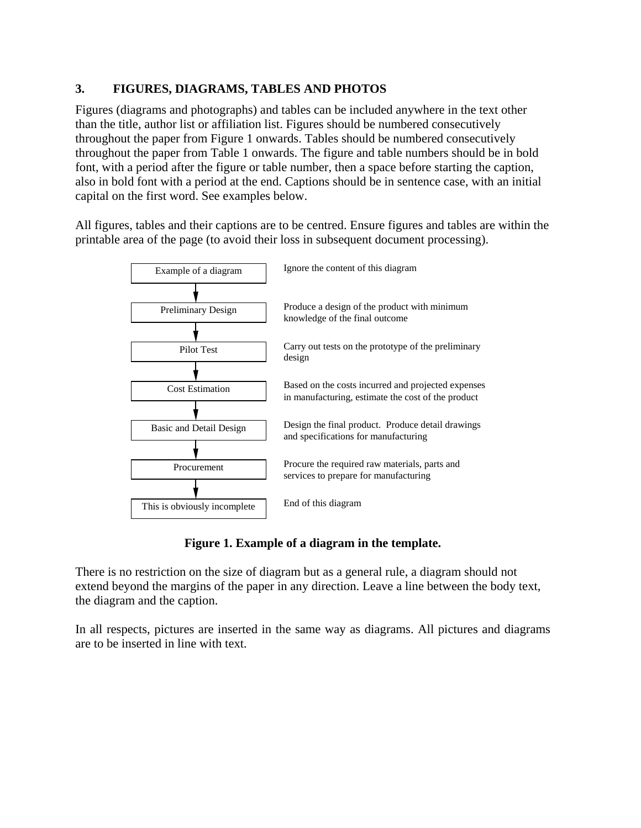#### **3. FIGURES, DIAGRAMS, TABLES AND PHOTOS**

Figures (diagrams and photographs) and tables can be included anywhere in the text other than the title, author list or affiliation list. Figures should be numbered consecutively throughout the paper from Figure 1 onwards. Tables should be numbered consecutively throughout the paper from Table 1 onwards. The figure and table numbers should be in bold font, with a period after the figure or table number, then a space before starting the caption, also in bold font with a period at the end. Captions should be in sentence case, with an initial capital on the first word. See examples below.

All figures, tables and their captions are to be centred. Ensure figures and tables are within the printable area of the page (to avoid their loss in subsequent document processing).



**Figure 1. Example of a diagram in the template.** 

There is no restriction on the size of diagram but as a general rule, a diagram should not extend beyond the margins of the paper in any direction. Leave a line between the body text, the diagram and the caption.

In all respects, pictures are inserted in the same way as diagrams. All pictures and diagrams are to be inserted in line with text.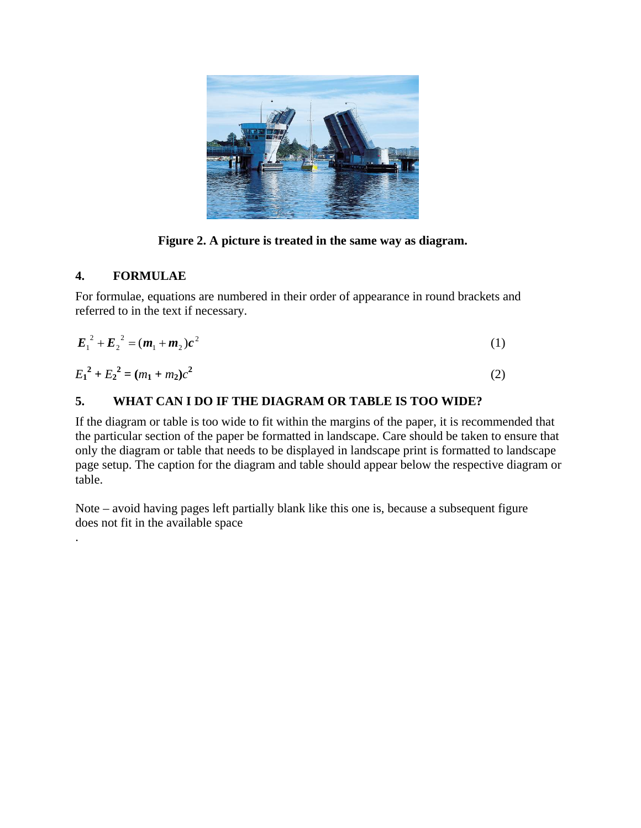

**Figure 2. A picture is treated in the same way as diagram.** 

# **4. FORMULAE**

.

For formulae, equations are numbered in their order of appearance in round brackets and referred to in the text if necessary.

$$
E_1^2 + E_2^2 = (m_1 + m_2)c^2
$$
 (1)

$$
E_1^2 + E_2^2 = (m_1 + m_2)c^2
$$
 (2)

## **5. WHAT CAN I DO IF THE DIAGRAM OR TABLE IS TOO WIDE?**

If the diagram or table is too wide to fit within the margins of the paper, it is recommended that the particular section of the paper be formatted in landscape. Care should be taken to ensure that only the diagram or table that needs to be displayed in landscape print is formatted to landscape page setup. The caption for the diagram and table should appear below the respective diagram or table.

Note – avoid having pages left partially blank like this one is, because a subsequent figure does not fit in the available space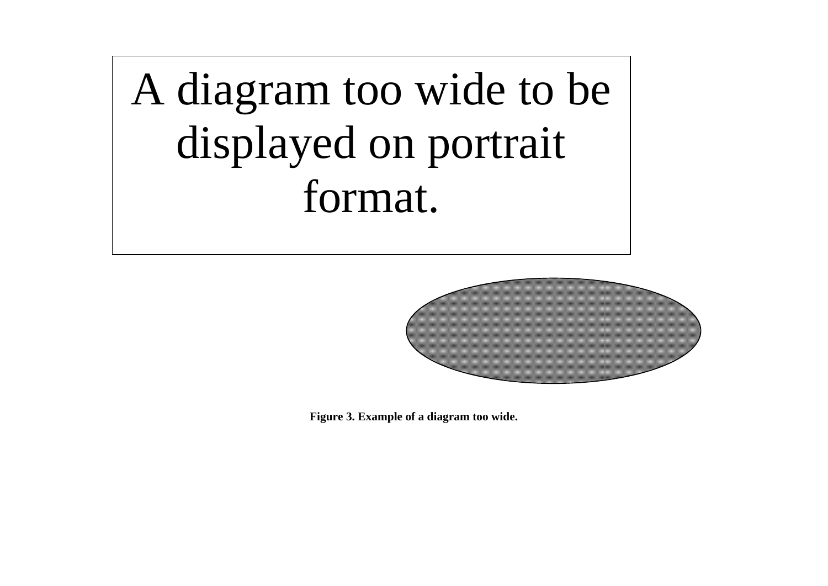A diagram too wide to be displayed on portrait format.



**Figure 3. Example of a diagram too wide.**